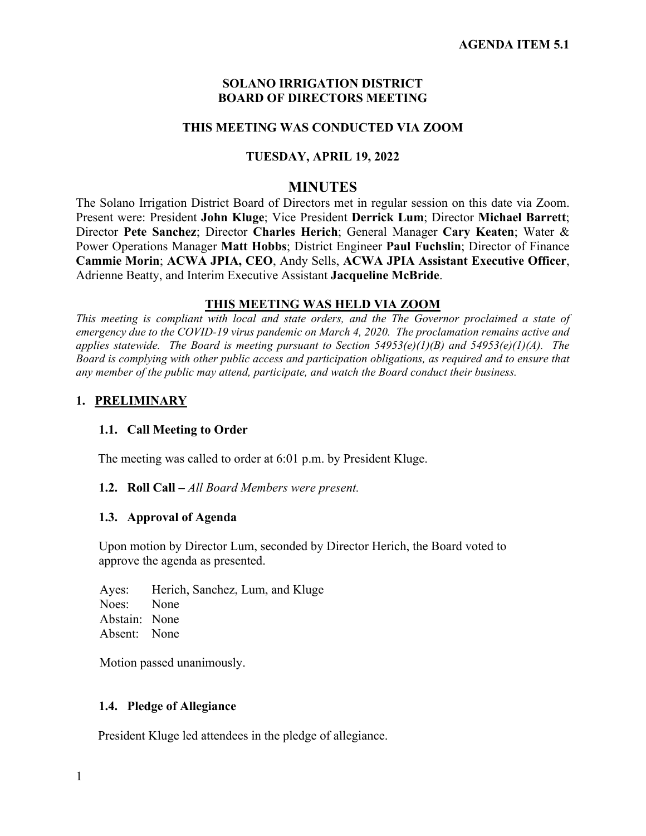#### **SOLANO IRRIGATION DISTRICT BOARD OF DIRECTORS MEETING**

#### **THIS MEETING WAS CONDUCTED VIA ZOOM**

#### **TUESDAY, APRIL 19, 2022**

#### **MINUTES**

The Solano Irrigation District Board of Directors met in regular session on this date via Zoom. Present were: President **John Kluge**; Vice President **Derrick Lum**; Director **Michael Barrett**; Director **Pete Sanchez**; Director **Charles Herich**; General Manager **Cary Keaten**; Water & Power Operations Manager **Matt Hobbs**; District Engineer **Paul Fuchslin**; Director of Finance **Cammie Morin**; **ACWA JPIA, CEO**, Andy Sells, **ACWA JPIA Assistant Executive Officer**, Adrienne Beatty, and Interim Executive Assistant **Jacqueline McBride**.

#### **THIS MEETING WAS HELD VIA ZOOM**

*This meeting is compliant with local and state orders, and the The Governor proclaimed a state of emergency due to the COVID-19 virus pandemic on March 4, 2020. The proclamation remains active and applies statewide. The Board is meeting pursuant to Section 54953(e)(1)(B) and 54953(e)(1)(A). The Board is complying with other public access and participation obligations, as required and to ensure that any member of the public may attend, participate, and watch the Board conduct their business.* 

#### **1. PRELIMINARY**

#### **1.1. Call Meeting to Order**

The meeting was called to order at 6:01 p.m. by President Kluge.

#### **1.2. Roll Call –** *All Board Members were present.*

#### **1.3. Approval of Agenda**

Upon motion by Director Lum, seconded by Director Herich, the Board voted to approve the agenda as presented.

Ayes: Herich, Sanchez, Lum, and Kluge Noes: None Abstain: None Absent: None

Motion passed unanimously.

#### **1.4. Pledge of Allegiance**

President Kluge led attendees in the pledge of allegiance.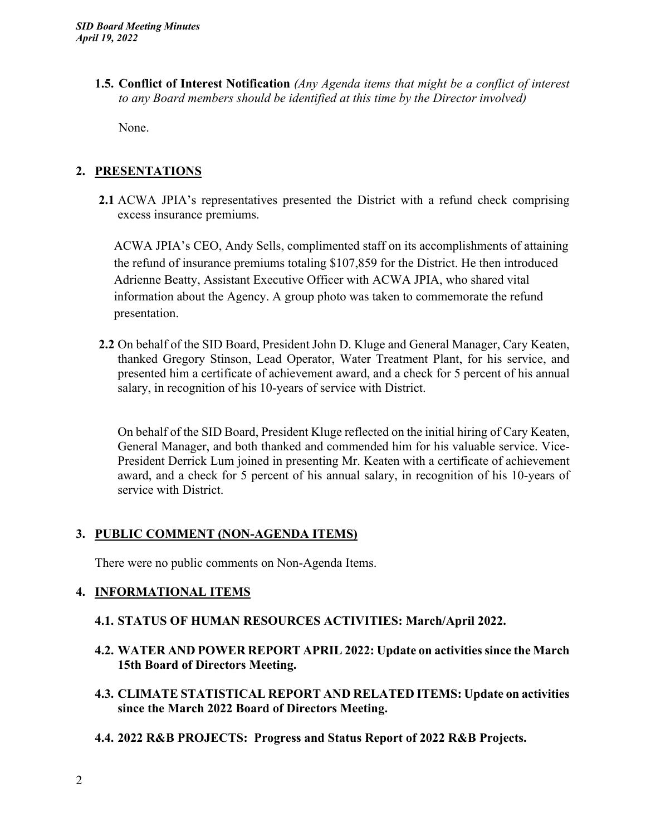**1.5. Conflict of Interest Notification** *(Any Agenda items that might be a conflict of interest to any Board members should be identified at this time by the Director involved)*

None.

# **2. PRESENTATIONS**

**2.1** ACWA JPIA's representatives presented the District with a refund check comprising excess insurance premiums.

ACWA JPIA's CEO, Andy Sells, complimented staff on its accomplishments of attaining the refund of insurance premiums totaling \$107,859 for the District. He then introduced Adrienne Beatty, Assistant Executive Officer with ACWA JPIA, who shared vital information about the Agency. A group photo was taken to commemorate the refund presentation.

**2.2** On behalf of the SID Board, President John D. Kluge and General Manager, Cary Keaten, thanked Gregory Stinson, Lead Operator, Water Treatment Plant, for his service, and presented him a certificate of achievement award, and a check for 5 percent of his annual salary, in recognition of his 10-years of service with District.

On behalf of the SID Board, President Kluge reflected on the initial hiring of Cary Keaten, General Manager, and both thanked and commended him for his valuable service. Vice-President Derrick Lum joined in presenting Mr. Keaten with a certificate of achievement award, and a check for 5 percent of his annual salary, in recognition of his 10-years of service with District.

# **3. PUBLIC COMMENT (NON-AGENDA ITEMS)**

There were no public comments on Non-Agenda Items.

## **4. INFORMATIONAL ITEMS**

## **4.1. STATUS OF HUMAN RESOURCES ACTIVITIES: March/April 2022.**

- **4.2. WATER AND POWER REPORT APRIL 2022: Update on activities since the March 15th Board of Directors Meeting.**
- **4.3. CLIMATE STATISTICAL REPORT AND RELATED ITEMS: Update on activities since the March 2022 Board of Directors Meeting.**
- **4.4. 2022 R&B PROJECTS: Progress and Status Report of 2022 R&B Projects.**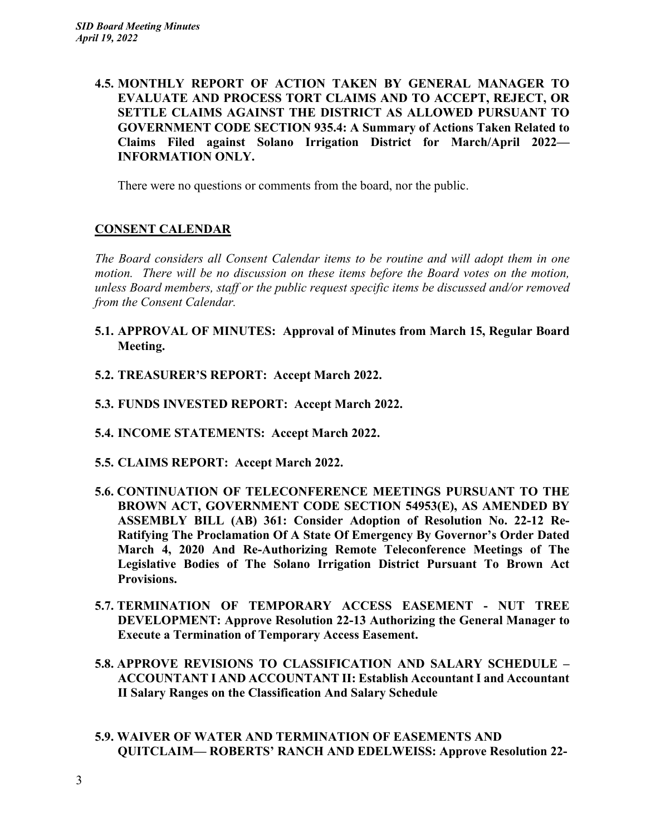**4.5. MONTHLY REPORT OF ACTION TAKEN BY GENERAL MANAGER TO EVALUATE AND PROCESS TORT CLAIMS AND TO ACCEPT, REJECT, OR SETTLE CLAIMS AGAINST THE DISTRICT AS ALLOWED PURSUANT TO GOVERNMENT CODE SECTION 935.4: A Summary of Actions Taken Related to Claims Filed against Solano Irrigation District for March/April 2022— INFORMATION ONLY.** 

There were no questions or comments from the board, nor the public.

## **CONSENT CALENDAR**

*The Board considers all Consent Calendar items to be routine and will adopt them in one motion. There will be no discussion on these items before the Board votes on the motion, unless Board members, staff or the public request specific items be discussed and/or removed from the Consent Calendar.* 

- **5.1. APPROVAL OF MINUTES: Approval of Minutes from March 15, Regular Board Meeting.**
- **5.2. TREASURER'S REPORT: Accept March 2022.**
- **5.3. FUNDS INVESTED REPORT: Accept March 2022.**
- **5.4. INCOME STATEMENTS: Accept March 2022.**
- **5.5. CLAIMS REPORT: Accept March 2022.**
- **5.6. CONTINUATION OF TELECONFERENCE MEETINGS PURSUANT TO THE BROWN ACT, GOVERNMENT CODE SECTION 54953(E), AS AMENDED BY ASSEMBLY BILL (AB) 361: Consider Adoption of Resolution No. 22-12 Re-Ratifying The Proclamation Of A State Of Emergency By Governor's Order Dated March 4, 2020 And Re-Authorizing Remote Teleconference Meetings of The Legislative Bodies of The Solano Irrigation District Pursuant To Brown Act Provisions.**
- **5.7. TERMINATION OF TEMPORARY ACCESS EASEMENT NUT TREE DEVELOPMENT: Approve Resolution 22-13 Authorizing the General Manager to Execute a Termination of Temporary Access Easement.**
- **5.8. APPROVE REVISIONS TO CLASSIFICATION AND SALARY SCHEDULE ACCOUNTANT I AND ACCOUNTANT II: Establish Accountant I and Accountant II Salary Ranges on the Classification And Salary Schedule**
- **5.9. WAIVER OF WATER AND TERMINATION OF EASEMENTS AND QUITCLAIM— ROBERTS' RANCH AND EDELWEISS: Approve Resolution 22-**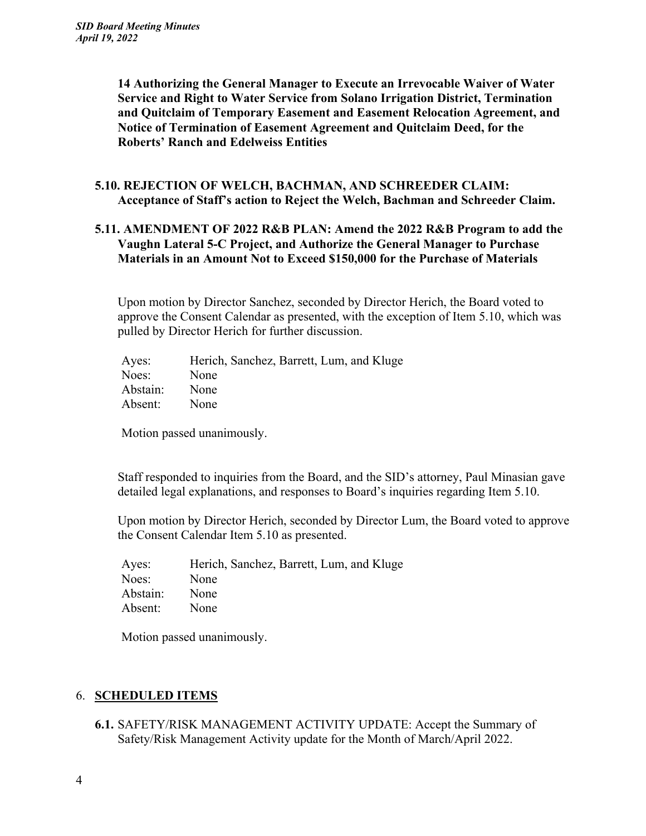**14 Authorizing the General Manager to Execute an Irrevocable Waiver of Water Service and Right to Water Service from Solano Irrigation District, Termination and Quitclaim of Temporary Easement and Easement Relocation Agreement, and Notice of Termination of Easement Agreement and Quitclaim Deed, for the Roberts' Ranch and Edelweiss Entities** 

#### **5.10. REJECTION OF WELCH, BACHMAN, AND SCHREEDER CLAIM: Acceptance of Staff's action to Reject the Welch, Bachman and Schreeder Claim.**

## **5.11. AMENDMENT OF 2022 R&B PLAN: Amend the 2022 R&B Program to add the Vaughn Lateral 5-C Project, and Authorize the General Manager to Purchase Materials in an Amount Not to Exceed \$150,000 for the Purchase of Materials**

Upon motion by Director Sanchez, seconded by Director Herich, the Board voted to approve the Consent Calendar as presented, with the exception of Item 5.10, which was pulled by Director Herich for further discussion.

| Ayes:    | Herich, Sanchez, Barrett, Lum, and Kluge |
|----------|------------------------------------------|
| Noes:    | None                                     |
| Abstain: | None                                     |
| Absent:  | None                                     |

Motion passed unanimously.

Staff responded to inquiries from the Board, and the SID's attorney, Paul Minasian gave detailed legal explanations, and responses to Board's inquiries regarding Item 5.10.

Upon motion by Director Herich, seconded by Director Lum, the Board voted to approve the Consent Calendar Item 5.10 as presented.

| Ayes:    | Herich, Sanchez, Barrett, Lum, and Kluge |
|----------|------------------------------------------|
| Noes:    | None                                     |
| Abstain: | None                                     |
| Absent:  | None                                     |

Motion passed unanimously.

## 6. **SCHEDULED ITEMS**

**6.1.** SAFETY/RISK MANAGEMENT ACTIVITY UPDATE: Accept the Summary of Safety/Risk Management Activity update for the Month of March/April 2022.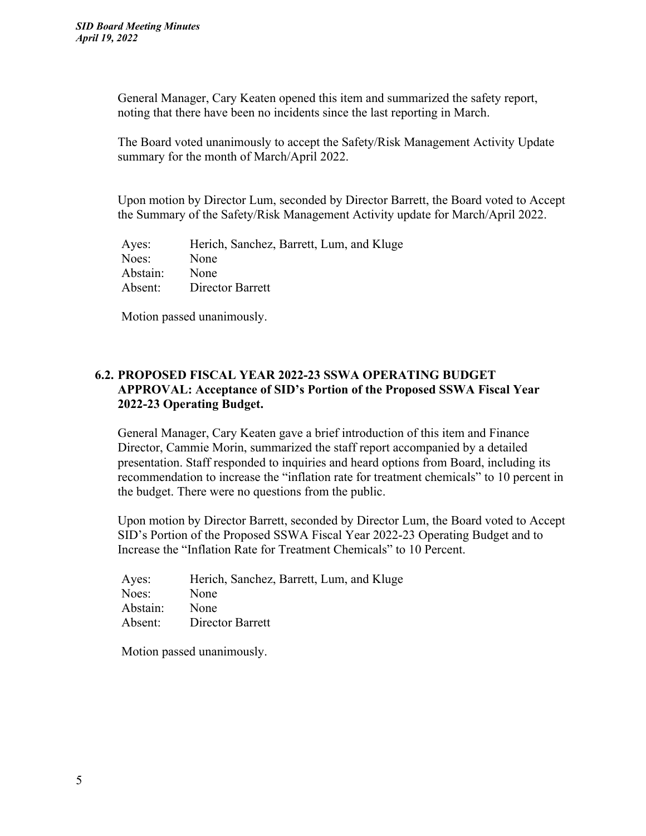General Manager, Cary Keaten opened this item and summarized the safety report, noting that there have been no incidents since the last reporting in March.

The Board voted unanimously to accept the Safety/Risk Management Activity Update summary for the month of March/April 2022.

Upon motion by Director Lum, seconded by Director Barrett, the Board voted to Accept the Summary of the Safety/Risk Management Activity update for March/April 2022.

Ayes: Herich, Sanchez, Barrett, Lum, and Kluge Noes: None Abstain: None Absent: Director Barrett

Motion passed unanimously.

# **6.2. PROPOSED FISCAL YEAR 2022-23 SSWA OPERATING BUDGET APPROVAL: Acceptance of SID's Portion of the Proposed SSWA Fiscal Year 2022-23 Operating Budget.**

General Manager, Cary Keaten gave a brief introduction of this item and Finance Director, Cammie Morin, summarized the staff report accompanied by a detailed presentation. Staff responded to inquiries and heard options from Board, including its recommendation to increase the "inflation rate for treatment chemicals" to 10 percent in the budget. There were no questions from the public.

Upon motion by Director Barrett, seconded by Director Lum, the Board voted to Accept SID's Portion of the Proposed SSWA Fiscal Year 2022-23 Operating Budget and to Increase the "Inflation Rate for Treatment Chemicals" to 10 Percent.

| Ayes:    | Herich, Sanchez, Barrett, Lum, and Kluge |
|----------|------------------------------------------|
| Noes:    | None                                     |
| Abstain: | None                                     |
| Absent:  | Director Barrett                         |

Motion passed unanimously.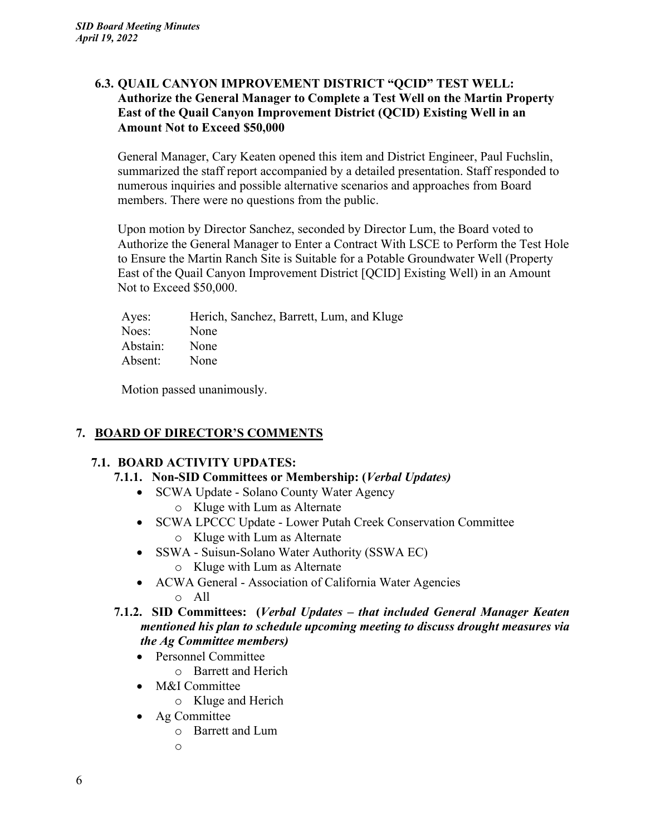## **6.3. QUAIL CANYON IMPROVEMENT DISTRICT "QCID" TEST WELL: Authorize the General Manager to Complete a Test Well on the Martin Property East of the Quail Canyon Improvement District (QCID) Existing Well in an Amount Not to Exceed \$50,000**

General Manager, Cary Keaten opened this item and District Engineer, Paul Fuchslin, summarized the staff report accompanied by a detailed presentation. Staff responded to numerous inquiries and possible alternative scenarios and approaches from Board members. There were no questions from the public.

Upon motion by Director Sanchez, seconded by Director Lum, the Board voted to Authorize the General Manager to Enter a Contract With LSCE to Perform the Test Hole to Ensure the Martin Ranch Site is Suitable for a Potable Groundwater Well (Property East of the Quail Canyon Improvement District [QCID] Existing Well) in an Amount Not to Exceed \$50,000.

| Herich, Sanchez, Barrett, Lum, and Kluge |
|------------------------------------------|
|                                          |
|                                          |
|                                          |
|                                          |

Motion passed unanimously.

# **7. BOARD OF DIRECTOR'S COMMENTS**

# **7.1. BOARD ACTIVITY UPDATES:**

- **7.1.1. Non-SID Committees or Membership: (***Verbal Updates)*
	- SCWA Update Solano County Water Agency
		- o Kluge with Lum as Alternate
	- SCWA LPCCC Update Lower Putah Creek Conservation Committee o Kluge with Lum as Alternate
	- SSWA Suisun-Solano Water Authority (SSWA EC)
		- o Kluge with Lum as Alternate
	- ACWA General Association of California Water Agencies o All
- **7.1.2. SID Committees: (***Verbal Updates that included General Manager Keaten mentioned his plan to schedule upcoming meeting to discuss drought measures via the Ag Committee members)* 
	- Personnel Committee
		- o Barrett and Herich
	- M&I Committee
		- o Kluge and Herich
	- Ag Committee
		- o Barrett and Lum
		- o